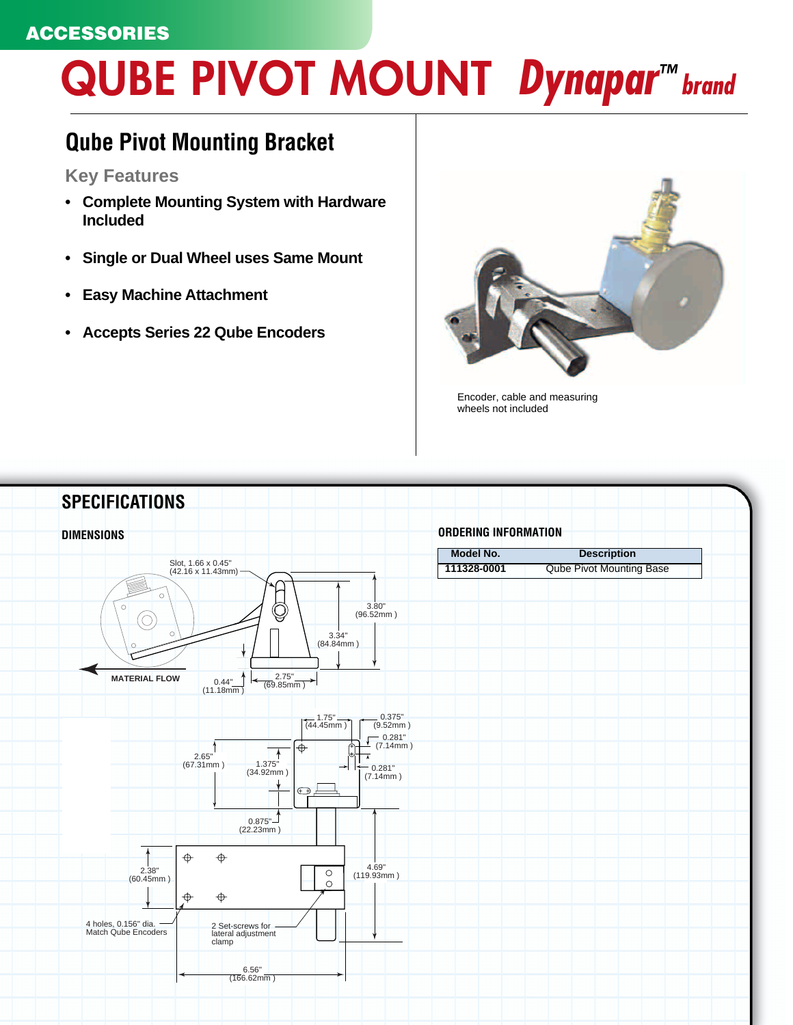## **ACCESSORIES**

## **QUBE PIVOT MOUNT Dynapar™ brand**

## **Qube Pivot Mounting Bracket**

**Key Features**

- **Complete Mounting System with Hardware Included**
- **Single or Dual Wheel uses Same Mount**
- **Easy Machine Attachment**
- **Accepts Series 22 Qube Encoders**



Encoder, cable and measuring wheels not included